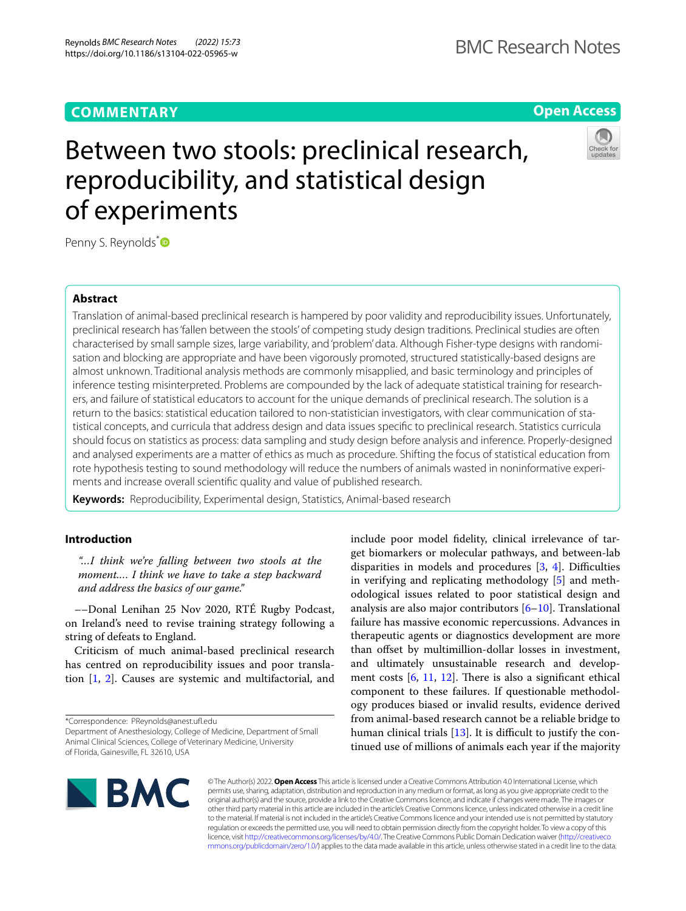# **COMMENTARY**

# **Open Access**

# Between two stools: preclinical research, reproducibility, and statistical design of experiments

Penny S. Reynolds[\\*](http://orcid.org/0000-0001-7480-6275)<sup>®</sup>

## **Abstract**

Translation of animal-based preclinical research is hampered by poor validity and reproducibility issues. Unfortunately, preclinical research has 'fallen between the stools' of competing study design traditions. Preclinical studies are often characterised by small sample sizes, large variability, and 'problem' data. Although Fisher-type designs with randomisation and blocking are appropriate and have been vigorously promoted, structured statistically-based designs are almost unknown. Traditional analysis methods are commonly misapplied, and basic terminology and principles of inference testing misinterpreted. Problems are compounded by the lack of adequate statistical training for researchers, and failure of statistical educators to account for the unique demands of preclinical research. The solution is a return to the basics: statistical education tailored to non-statistician investigators, with clear communication of statistical concepts, and curricula that address design and data issues specifc to preclinical research. Statistics curricula should focus on statistics as process: data sampling and study design before analysis and inference. Properly-designed and analysed experiments are a matter of ethics as much as procedure. Shifting the focus of statistical education from rote hypothesis testing to sound methodology will reduce the numbers of animals wasted in noninformative experiments and increase overall scientifc quality and value of published research.

**Keywords:** Reproducibility, Experimental design, Statistics, Animal-based research

# **Introduction**

*"…I think we're falling between two stools at the moment.… I think we have to take a step backward and address the basics of our game."*

––Donal Lenihan 25 Nov 2020, RTÉ Rugby Podcast, on Ireland's need to revise training strategy following a string of defeats to England.

Criticism of much animal-based preclinical research has centred on reproducibility issues and poor translation [\[1](#page-3-0), [2](#page-3-1)]. Causes are systemic and multifactorial, and

\*Correspondence: PReynolds@anest.uf.edu

include poor model fdelity, clinical irrelevance of target biomarkers or molecular pathways, and between-lab disparities in models and procedures  $[3, 4]$  $[3, 4]$  $[3, 4]$  $[3, 4]$ . Difficulties in verifying and replicating methodology [\[5](#page-3-4)] and methodological issues related to poor statistical design and analysis are also major contributors [\[6](#page-3-5)–[10\]](#page-3-6). Translational failure has massive economic repercussions. Advances in therapeutic agents or diagnostics development are more than ofset by multimillion-dollar losses in investment, and ultimately unsustainable research and development costs  $[6, 11, 12]$  $[6, 11, 12]$  $[6, 11, 12]$  $[6, 11, 12]$  $[6, 11, 12]$  $[6, 11, 12]$ . There is also a significant ethical component to these failures. If questionable methodology produces biased or invalid results, evidence derived from animal-based research cannot be a reliable bridge to human clinical trials  $[13]$  $[13]$  $[13]$ . It is difficult to justify the continued use of millions of animals each year if the majority



© The Author(s) 2022. **Open Access** This article is licensed under a Creative Commons Attribution 4.0 International License, which permits use, sharing, adaptation, distribution and reproduction in any medium or format, as long as you give appropriate credit to the original author(s) and the source, provide a link to the Creative Commons licence, and indicate if changes were made. The images or other third party material in this article are included in the article's Creative Commons licence, unless indicated otherwise in a credit line to the material. If material is not included in the article's Creative Commons licence and your intended use is not permitted by statutory regulation or exceeds the permitted use, you will need to obtain permission directly from the copyright holder. To view a copy of this licence, visit [http://creativecommons.org/licenses/by/4.0/.](http://creativecommons.org/licenses/by/4.0/) The Creative Commons Public Domain Dedication waiver ([http://creativeco](http://creativecommons.org/publicdomain/zero/1.0/) [mmons.org/publicdomain/zero/1.0/](http://creativecommons.org/publicdomain/zero/1.0/)) applies to the data made available in this article, unless otherwise stated in a credit line to the data.

Department of Anesthesiology, College of Medicine, Department of Small Animal Clinical Sciences, College of Veterinary Medicine, University of Florida, Gainesville, FL 32610, USA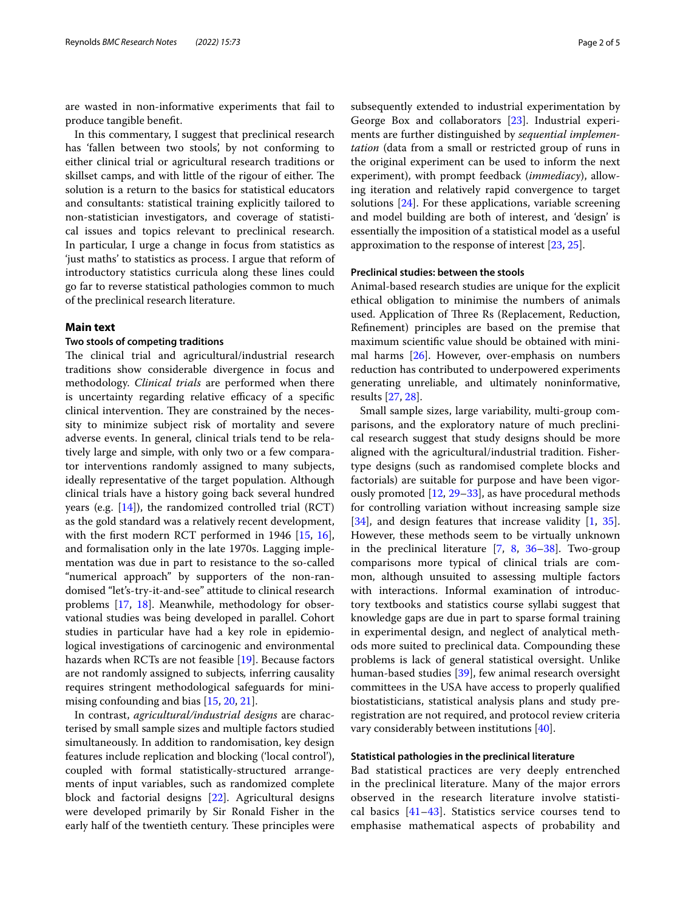are wasted in non-informative experiments that fail to produce tangible beneft.

In this commentary, I suggest that preclinical research has 'fallen between two stools', by not conforming to either clinical trial or agricultural research traditions or skillset camps, and with little of the rigour of either. The solution is a return to the basics for statistical educators and consultants: statistical training explicitly tailored to non-statistician investigators, and coverage of statistical issues and topics relevant to preclinical research. In particular, I urge a change in focus from statistics as 'just maths' to statistics as process. I argue that reform of introductory statistics curricula along these lines could go far to reverse statistical pathologies common to much of the preclinical research literature.

### **Main text**

#### **Two stools of competing traditions**

The clinical trial and agricultural/industrial research traditions show considerable divergence in focus and methodology. *Clinical trials* are performed when there is uncertainty regarding relative efficacy of a specific clinical intervention. They are constrained by the necessity to minimize subject risk of mortality and severe adverse events. In general, clinical trials tend to be relatively large and simple, with only two or a few comparator interventions randomly assigned to many subjects, ideally representative of the target population. Although clinical trials have a history going back several hundred years (e.g.  $[14]$  $[14]$  $[14]$ ), the randomized controlled trial (RCT) as the gold standard was a relatively recent development, with the first modern RCT performed in 1946 [[15](#page-3-11), [16](#page-3-12)], and formalisation only in the late 1970s. Lagging implementation was due in part to resistance to the so-called "numerical approach" by supporters of the non-randomised "let's-try-it-and-see" attitude to clinical research problems [\[17](#page-3-13), [18\]](#page-3-14). Meanwhile, methodology for observational studies was being developed in parallel. Cohort studies in particular have had a key role in epidemiological investigations of carcinogenic and environmental hazards when RCTs are not feasible [[19\]](#page-3-15). Because factors are not randomly assigned to subjects*,* inferring causality requires stringent methodological safeguards for minimising confounding and bias [[15,](#page-3-11) [20](#page-3-16), [21](#page-3-17)].

In contrast, *agricultural/industrial designs* are characterised by small sample sizes and multiple factors studied simultaneously. In addition to randomisation, key design features include replication and blocking ('local control'), coupled with formal statistically-structured arrangements of input variables, such as randomized complete block and factorial designs [[22\]](#page-3-18). Agricultural designs were developed primarily by Sir Ronald Fisher in the early half of the twentieth century. These principles were subsequently extended to industrial experimentation by George Box and collaborators [[23\]](#page-4-0). Industrial experiments are further distinguished by *sequential implementation* (data from a small or restricted group of runs in the original experiment can be used to inform the next experiment), with prompt feedback (*immediacy*), allowing iteration and relatively rapid convergence to target solutions [\[24](#page-4-1)]. For these applications, variable screening and model building are both of interest, and 'design' is essentially the imposition of a statistical model as a useful approximation to the response of interest [[23](#page-4-0), [25\]](#page-4-2).

#### **Preclinical studies: between the stools**

Animal-based research studies are unique for the explicit ethical obligation to minimise the numbers of animals used. Application of Three Rs (Replacement, Reduction, Refnement) principles are based on the premise that maximum scientifc value should be obtained with minimal harms [[26\]](#page-4-3). However, over-emphasis on numbers reduction has contributed to underpowered experiments generating unreliable, and ultimately noninformative, results [\[27](#page-4-4), [28\]](#page-4-5).

Small sample sizes, large variability, multi-group comparisons, and the exploratory nature of much preclinical research suggest that study designs should be more aligned with the agricultural/industrial tradition. Fishertype designs (such as randomised complete blocks and factorials) are suitable for purpose and have been vigorously promoted [\[12,](#page-3-8) [29–](#page-4-6)[33](#page-4-7)], as have procedural methods for controlling variation without increasing sample size [[34\]](#page-4-8), and design features that increase validity [[1,](#page-3-0) [35](#page-4-9)]. However, these methods seem to be virtually unknown in the preclinical literature [\[7](#page-3-19), [8,](#page-3-20) [36](#page-4-10)[–38\]](#page-4-11). Two-group comparisons more typical of clinical trials are common, although unsuited to assessing multiple factors with interactions. Informal examination of introductory textbooks and statistics course syllabi suggest that knowledge gaps are due in part to sparse formal training in experimental design, and neglect of analytical methods more suited to preclinical data. Compounding these problems is lack of general statistical oversight. Unlike human-based studies [[39\]](#page-4-12), few animal research oversight committees in the USA have access to properly qualifed biostatisticians, statistical analysis plans and study preregistration are not required, and protocol review criteria vary considerably between institutions [\[40](#page-4-13)].

#### **Statistical pathologies in the preclinical literature**

Bad statistical practices are very deeply entrenched in the preclinical literature. Many of the major errors observed in the research literature involve statistical basics  $[41-43]$  $[41-43]$ . Statistics service courses tend to emphasise mathematical aspects of probability and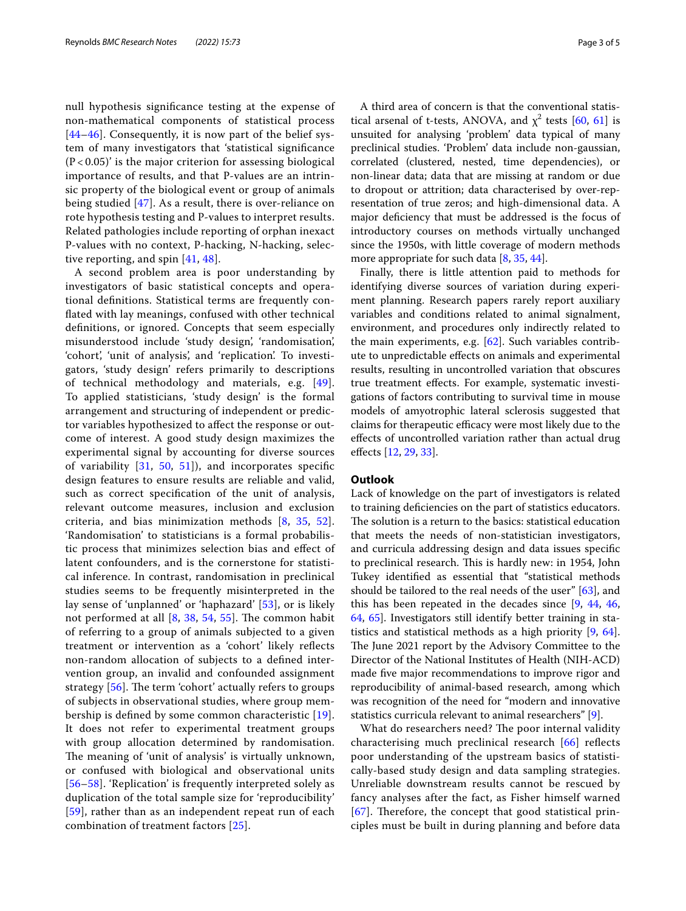null hypothesis signifcance testing at the expense of non-mathematical components of statistical process [[44](#page-4-16)[–46](#page-4-17)]. Consequently, it is now part of the belief system of many investigators that 'statistical signifcance  $(P<0.05)$ ' is the major criterion for assessing biological importance of results, and that P-values are an intrinsic property of the biological event or group of animals being studied [[47\]](#page-4-18). As a result, there is over-reliance on rote hypothesis testing and P-values to interpret results. Related pathologies include reporting of orphan inexact P-values with no context, P-hacking, N-hacking, selective reporting, and spin [[41](#page-4-14), [48](#page-4-19)].

A second problem area is poor understanding by investigators of basic statistical concepts and operational defnitions. Statistical terms are frequently confated with lay meanings, confused with other technical defnitions, or ignored. Concepts that seem especially misunderstood include 'study design', 'randomisation', 'cohort', 'unit of analysis', and 'replication'. To investigators, 'study design' refers primarily to descriptions of technical methodology and materials, e.g. [[49\]](#page-4-20). To applied statisticians, 'study design' is the formal arrangement and structuring of independent or predictor variables hypothesized to afect the response or outcome of interest. A good study design maximizes the experimental signal by accounting for diverse sources of variability [[31,](#page-4-21) [50](#page-4-22), [51\]](#page-4-23)), and incorporates specifc design features to ensure results are reliable and valid, such as correct specifcation of the unit of analysis, relevant outcome measures, inclusion and exclusion criteria, and bias minimization methods [[8,](#page-3-20) [35](#page-4-9), [52\]](#page-4-24). 'Randomisation' to statisticians is a formal probabilistic process that minimizes selection bias and efect of latent confounders, and is the cornerstone for statistical inference. In contrast, randomisation in preclinical studies seems to be frequently misinterpreted in the lay sense of 'unplanned' or 'haphazard' [[53\]](#page-4-25), or is likely not performed at all  $[8, 38, 54, 55]$  $[8, 38, 54, 55]$  $[8, 38, 54, 55]$  $[8, 38, 54, 55]$  $[8, 38, 54, 55]$  $[8, 38, 54, 55]$  $[8, 38, 54, 55]$  $[8, 38, 54, 55]$ . The common habit of referring to a group of animals subjected to a given treatment or intervention as a 'cohort' likely refects non-random allocation of subjects to a defned intervention group, an invalid and confounded assignment strategy  $[56]$  $[56]$ . The term 'cohort' actually refers to groups of subjects in observational studies, where group membership is defned by some common characteristic [[19\]](#page-3-15). It does not refer to experimental treatment groups with group allocation determined by randomisation. The meaning of 'unit of analysis' is virtually unknown, or confused with biological and observational units [[56](#page-4-28)[–58](#page-4-29)]. 'Replication' is frequently interpreted solely as duplication of the total sample size for 'reproducibility' [[59](#page-4-30)], rather than as an independent repeat run of each combination of treatment factors [[25](#page-4-2)].

A third area of concern is that the conventional statistical arsenal of t-tests, ANOVA, and  $\chi^2$  tests [[60](#page-4-31), [61](#page-4-32)] is unsuited for analysing 'problem' data typical of many preclinical studies. 'Problem' data include non-gaussian, correlated (clustered, nested, time dependencies), or non-linear data; data that are missing at random or due to dropout or attrition; data characterised by over-representation of true zeros; and high-dimensional data. A major defciency that must be addressed is the focus of introductory courses on methods virtually unchanged since the 1950s, with little coverage of modern methods more appropriate for such data [[8,](#page-3-20) [35,](#page-4-9) [44](#page-4-16)].

Finally, there is little attention paid to methods for identifying diverse sources of variation during experiment planning. Research papers rarely report auxiliary variables and conditions related to animal signalment, environment, and procedures only indirectly related to the main experiments, e.g. [\[62\]](#page-4-33). Such variables contribute to unpredictable efects on animals and experimental results, resulting in uncontrolled variation that obscures true treatment efects. For example, systematic investigations of factors contributing to survival time in mouse models of amyotrophic lateral sclerosis suggested that claims for therapeutic efficacy were most likely due to the efects of uncontrolled variation rather than actual drug efects [[12](#page-3-8), [29,](#page-4-6) [33](#page-4-7)].

#### **Outlook**

Lack of knowledge on the part of investigators is related to training defciencies on the part of statistics educators. The solution is a return to the basics: statistical education that meets the needs of non-statistician investigators, and curricula addressing design and data issues specifc to preclinical research. This is hardly new: in 1954, John Tukey identifed as essential that "statistical methods should be tailored to the real needs of the user" [[63](#page-4-34)], and this has been repeated in the decades since [\[9](#page-3-21), [44](#page-4-16), [46](#page-4-17), [64,](#page-4-35) [65](#page-4-36)]. Investigators still identify better training in statistics and statistical methods as a high priority [[9](#page-3-21), [64](#page-4-35)]. The June 2021 report by the Advisory Committee to the Director of the National Institutes of Health (NIH-ACD) made fve major recommendations to improve rigor and reproducibility of animal-based research, among which was recognition of the need for "modern and innovative statistics curricula relevant to animal researchers" [\[9](#page-3-21)].

What do researchers need? The poor internal validity characterising much preclinical research [[66](#page-4-37)] refects poor understanding of the upstream basics of statistically-based study design and data sampling strategies. Unreliable downstream results cannot be rescued by fancy analyses after the fact, as Fisher himself warned  $[67]$  $[67]$  $[67]$ . Therefore, the concept that good statistical principles must be built in during planning and before data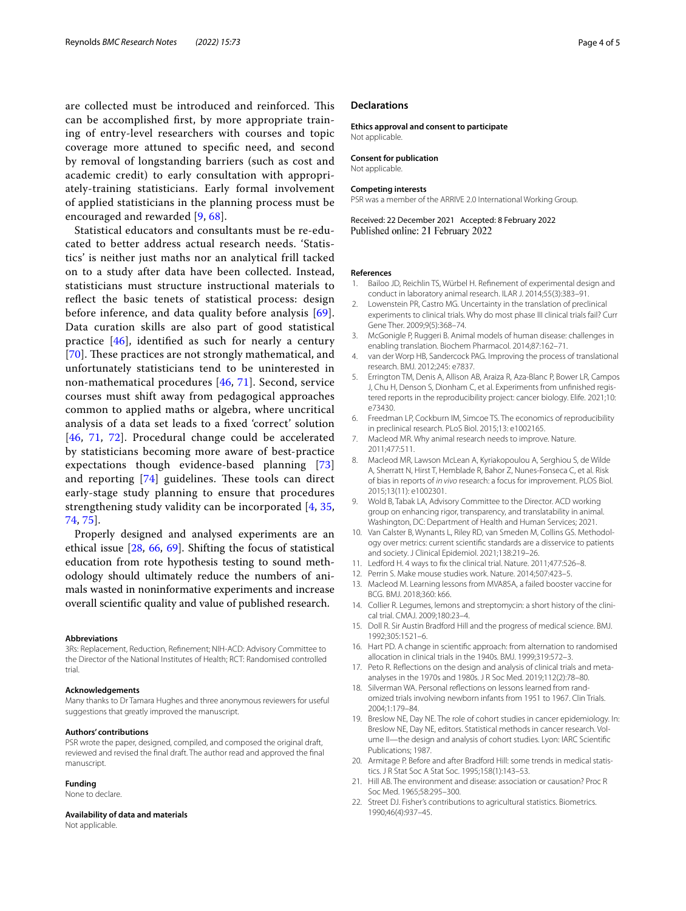are collected must be introduced and reinforced. This can be accomplished frst, by more appropriate training of entry-level researchers with courses and topic coverage more attuned to specifc need, and second by removal of longstanding barriers (such as cost and academic credit) to early consultation with appropriately-training statisticians. Early formal involvement of applied statisticians in the planning process must be encouraged and rewarded [[9,](#page-3-21) [68\]](#page-4-39).

Statistical educators and consultants must be re-educated to better address actual research needs. 'Statistics' is neither just maths nor an analytical frill tacked on to a study after data have been collected. Instead, statisticians must structure instructional materials to refect the basic tenets of statistical process: design before inference, and data quality before analysis [[69\]](#page-4-40). Data curation skills are also part of good statistical practice [[46\]](#page-4-17), identifed as such for nearly a century [[70](#page-4-41)]. These practices are not strongly mathematical, and unfortunately statisticians tend to be uninterested in non-mathematical procedures [[46,](#page-4-17) [71](#page-4-42)]. Second, service courses must shift away from pedagogical approaches common to applied maths or algebra, where uncritical analysis of a data set leads to a fxed 'correct' solution [[46](#page-4-17), [71](#page-4-42), [72\]](#page-4-43). Procedural change could be accelerated by statisticians becoming more aware of best-practice expectations though evidence-based planning [\[73](#page-4-44)] and reporting  $[74]$  $[74]$  guidelines. These tools can direct early-stage study planning to ensure that procedures strengthening study validity can be incorporated [[4](#page-3-3), [35](#page-4-9), [74,](#page-4-45) [75\]](#page-4-46).

Properly designed and analysed experiments are an ethical issue [[28,](#page-4-5) [66](#page-4-37), [69\]](#page-4-40). Shifting the focus of statistical education from rote hypothesis testing to sound methodology should ultimately reduce the numbers of animals wasted in noninformative experiments and increase overall scientifc quality and value of published research.

#### **Abbreviations**

3Rs: Replacement, Reduction, Refnement; NIH-ACD: Advisory Committee to the Director of the National Institutes of Health; RCT: Randomised controlled trial.

#### **Acknowledgements**

Many thanks to Dr Tamara Hughes and three anonymous reviewers for useful suggestions that greatly improved the manuscript.

#### **Authors' contributions**

PSR wrote the paper, designed, compiled, and composed the original draft, reviewed and revised the fnal draft. The author read and approved the fnal manuscript.

#### **Funding**

None to declare.

**Availability of data and materials**

Not applicable.

#### **Declarations**

**Ethics approval and consent to participate** Not applicable.

**Consent for publication**

Not applicable.

#### **Competing interests**

PSR was a member of the ARRIVE 2.0 International Working Group.

Received: 22 December 2021 Accepted: 8 February 2022 Published online: 21 February 2022

#### **References**

- <span id="page-3-0"></span>1. Bailoo JD, Reichlin TS, Würbel H. Refnement of experimental design and conduct in laboratory animal research. ILAR J. 2014;55(3):383–91.
- <span id="page-3-1"></span>2. Lowenstein PR, Castro MG. Uncertainty in the translation of preclinical experiments to clinical trials. Why do most phase III clinical trials fail? Curr Gene Ther. 2009;9(5):368–74.
- <span id="page-3-2"></span>3. McGonigle P, Ruggeri B. Animal models of human disease: challenges in enabling translation. Biochem Pharmacol. 2014;87:162–71.
- <span id="page-3-3"></span>4. van der Worp HB, Sandercock PAG. Improving the process of translational research. BMJ. 2012;245: e7837.
- <span id="page-3-4"></span>5. Errington TM, Denis A, Allison AB, Araiza R, Aza-Blanc P, Bower LR, Campos J, Chu H, Denson S, Dionham C, et al. Experiments from unfnished registered reports in the reproducibility project: cancer biology. Elife. 2021;10: e73430.
- <span id="page-3-5"></span>6. Freedman LP, Cockburn IM, Simcoe TS. The economics of reproducibility in preclinical research. PLoS Biol. 2015;13: e1002165.
- <span id="page-3-19"></span>7. Macleod MR. Why animal research needs to improve. Nature. 2011;477:511.
- <span id="page-3-20"></span>8. Macleod MR, Lawson McLean A, Kyriakopoulou A, Serghiou S, de Wilde A, Sherratt N, Hirst T, Hemblade R, Bahor Z, Nunes-Fonseca C, et al. Risk of bias in reports of *in vivo* research: a focus for improvement. PLOS Biol. 2015;13(11): e1002301.
- <span id="page-3-21"></span>9. Wold B, Tabak LA, Advisory Committee to the Director. ACD working group on enhancing rigor, transparency, and translatability in animal. Washington, DC: Department of Health and Human Services; 2021.
- <span id="page-3-6"></span>10. Van Calster B, Wynants L, Riley RD, van Smeden M, Collins GS. Methodology over metrics: current scientifc standards are a disservice to patients and society. J Clinical Epidemiol. 2021;138:219–26.
- <span id="page-3-7"></span>11. Ledford H. 4 ways to fx the clinical trial. Nature. 2011;477:526–8.
- <span id="page-3-8"></span>12. Perrin S. Make mouse studies work. Nature. 2014;507:423–5.
- <span id="page-3-9"></span>13. Macleod M. Learning lessons from MVA85A, a failed booster vaccine for BCG. BMJ. 2018;360: k66.
- <span id="page-3-10"></span>14. Collier R. Legumes, lemons and streptomycin: a short history of the clinical trial. CMAJ. 2009;180:23–4.
- <span id="page-3-11"></span>15. Doll R. Sir Austin Bradford Hill and the progress of medical science. BMJ. 1992;305:1521–6.
- <span id="page-3-12"></span>16. Hart PD. A change in scientifc approach: from alternation to randomised allocation in clinical trials in the 1940s. BMJ. 1999;319:572–3.
- <span id="page-3-13"></span>17. Peto R. Refections on the design and analysis of clinical trials and metaanalyses in the 1970s and 1980s. J R Soc Med. 2019;112(2):78–80.
- <span id="page-3-14"></span>18. Silverman WA. Personal refections on lessons learned from randomized trials involving newborn infants from 1951 to 1967. Clin Trials. 2004;1:179–84.
- <span id="page-3-15"></span>19. Breslow NE, Day NE. The role of cohort studies in cancer epidemiology. In: Breslow NE, Day NE, editors. Statistical methods in cancer research. Volume II—the design and analysis of cohort studies. Lyon: IARC Scientifc Publications; 1987.
- <span id="page-3-16"></span>20. Armitage P. Before and after Bradford Hill: some trends in medical statistics. J R Stat Soc A Stat Soc. 1995;158(1):143–53.
- <span id="page-3-17"></span>21. Hill AB. The environment and disease: association or causation? Proc R Soc Med. 1965;58:295–300.
- <span id="page-3-18"></span>22. Street DJ. Fisher's contributions to agricultural statistics. Biometrics. 1990;46(4):937–45.